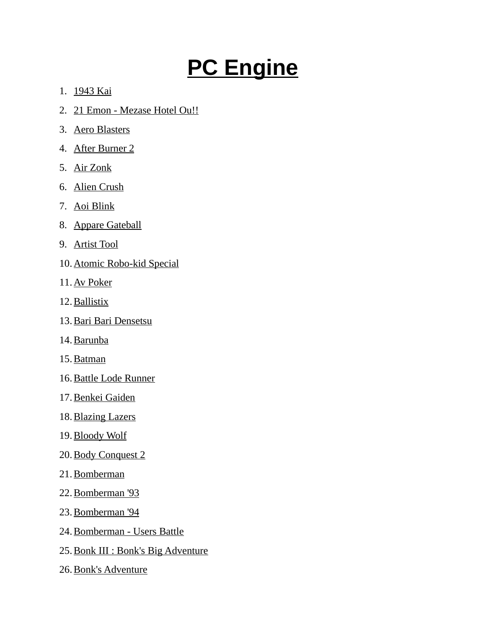## **PC Engine**

- 1. 1943 Kai
- 2. 21 Emon Mezase Hotel Ou!!
- 3. Aero Blasters
- 4. After Burner 2
- 5. Air Zonk
- 6. Alien Crush
- 7. Aoi Blink
- 8. Appare Gateball
- 9. Artist Tool
- 10. Atomic Robo-kid Special
- 11. Av Poker
- 12. Ballistix
- 13. Bari Bari Densetsu
- 14. Barunba
- 15. Batman
- 16. Battle Lode Runner
- 17. Benkei Gaiden
- 18. Blazing Lazers
- 19. Bloody Wolf
- 20. Body Conquest 2
- 21. Bomberman
- 22. Bomberman '93
- 23. Bomberman '94
- 24. Bomberman Users Battle
- 25. Bonk III : Bonk's Big Adventure
- 26. Bonk's Adventure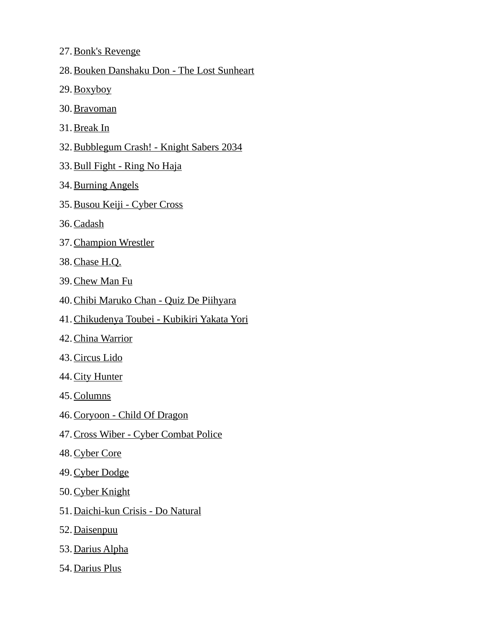- 27. Bonk's Revenge
- 28.Bouken Danshaku Don The Lost Sunheart
- 29. Boxyboy
- 30. Bravoman
- 31. Break In
- 32.Bubblegum Crash! Knight Sabers 2034
- 33. Bull Fight Ring No Haja
- 34. Burning Angels
- 35. Busou Keiji Cyber Cross
- 36. Cadash
- 37. Champion Wrestler
- 38. Chase H.Q.
- 39. Chew Man Fu
- 40.Chibi Maruko Chan Quiz De Piihyara
- 41.Chikudenya Toubei Kubikiri Yakata Yori
- 42. China Warrior
- 43. Circus Lido
- 44. City Hunter
- 45. Columns
- 46. Coryoon Child Of Dragon
- 47. Cross Wiber Cyber Combat Police
- 48. Cyber Core
- 49. Cyber Dodge
- 50. Cyber Knight
- 51. Daichi-kun Crisis Do Natural
- 52. Daisenpuu
- 53. Darius Alpha
- 54. Darius Plus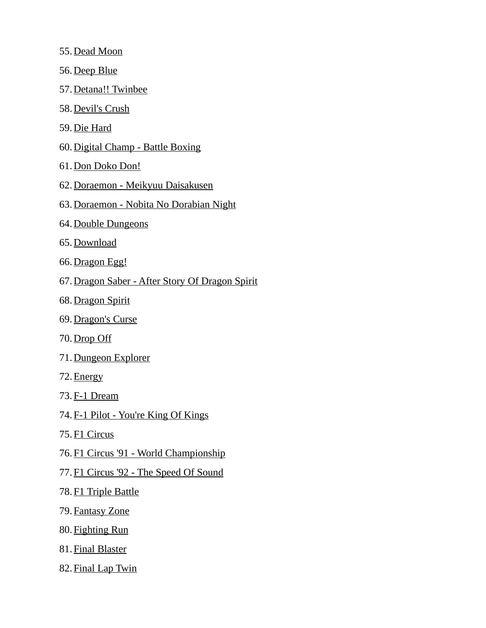- 55. Dead Moon
- 56. Deep Blue
- 57. Detana!! Twinbee
- 58. Devil's Crush
- 59. Die Hard
- 60. Digital Champ Battle Boxing
- 61. Don Doko Don!
- 62. Doraemon Meikyuu Daisakusen
- 63.Doraemon Nobita No Dorabian Night
- 64. Double Dungeons
- 65. Download
- 66. Dragon Egg!
- 67.Dragon Saber After Story Of Dragon Spirit
- 68. Dragon Spirit
- 69. Dragon's Curse
- 70. Drop Off
- 71. Dungeon Explorer
- 72. Energy
- 73. F-1 Dream
- 74. F-1 Pilot You're King Of Kings
- 75. F1 Circus
- 76. F1 Circus '91 World Championship
- 77. F1 Circus '92 The Speed Of Sound
- 78. F1 Triple Battle
- 79. Fantasy Zone
- 80. Fighting Run
- 81. Final Blaster
- 82. Final Lap Twin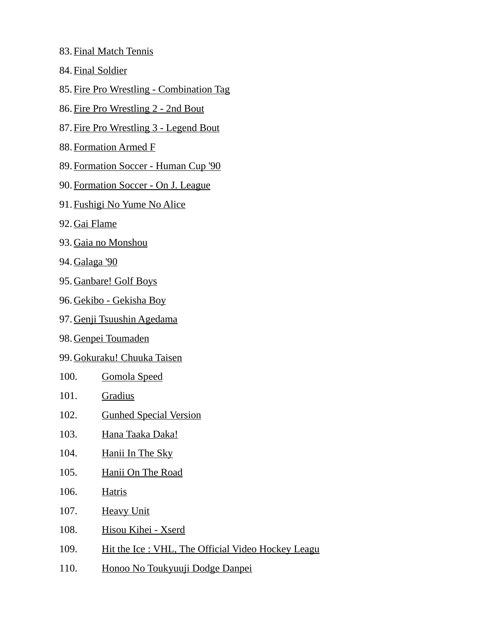- 83. Final Match Tennis
- 84. Final Soldier
- 85.Fire Pro Wrestling Combination Tag
- 86. Fire Pro Wrestling 2 2nd Bout
- 87. Fire Pro Wrestling 3 Legend Bout
- 88. Formation Armed F
- 89. Formation Soccer Human Cup '90
- 90. Formation Soccer On J. League
- 91. Fushigi No Yume No Alice
- 92. Gai Flame
- 93. Gaia no Monshou
- 94. Galaga '90
- 95. Ganbare! Golf Boys
- 96. Gekibo Gekisha Boy
- 97. Genji Tsuushin Agedama
- 98. Genpei Toumaden
- 99. Gokuraku! Chuuka Taisen
- 100. Gomola Speed
- 101. Gradius
- 102. Gunhed Special Version
- 103. Hana Taaka Daka!
- 104. Hanii In The Sky
- 105. Hanii On The Road
- 106. Hatris
- 107. Heavy Unit
- 108. Hisou Kihei Xserd
- 109. Hit the Ice : VHL, The Official Video Hockey Leagu
- 110. Honoo No Toukyuuji Dodge Danpei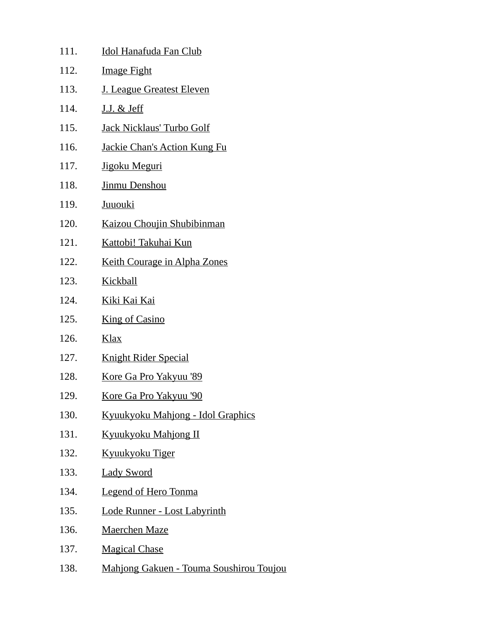| 111. | <b>Idol Hanafuda Fan Club</b>                  |
|------|------------------------------------------------|
| 112. | <b>Image Fight</b>                             |
| 113. | J. League Greatest Eleven                      |
| 114. | <u>J.J. &amp; Jeff</u>                         |
| 115. | Jack Nicklaus' Turbo Golf                      |
| 116. | <b>Jackie Chan's Action Kung Fu</b>            |
| 117. | Jigoku Meguri                                  |
| 118. | Jinmu Denshou                                  |
| 119. | Juuouki                                        |
| 120. | Kaizou Choujin Shubibinman                     |
| 121. | <u>Kattobi! Takuhai Kun</u>                    |
| 122. | <b>Keith Courage in Alpha Zones</b>            |
| 123. | <b>Kickball</b>                                |
| 124. | <u>Kiki Kai Kai</u>                            |
| 125. | <b>King of Casino</b>                          |
| 126. | <u>Klax</u>                                    |
| 127. | <b>Knight Rider Special</b>                    |
| 128. | <u>Kore Ga Pro Yakyuu '89</u>                  |
| 129. | Kore Ga Pro Yakyuu '90                         |
| 130. | <b>Kyuukyoku Mahjong - Idol Graphics</b>       |
| 131. | <b>Kyuukyoku Mahjong II</b>                    |
| 132. | <u>Kyuukyoku Tiger</u>                         |
| 133. | <b>Lady Sword</b>                              |
| 134. | <b>Legend of Hero Tonma</b>                    |
| 135. | Lode Runner - Lost Labyrinth                   |
| 136. | <b>Maerchen Maze</b>                           |
| 137. | <b>Magical Chase</b>                           |
| 138. | <b>Mahjong Gakuen - Touma Soushirou Toujou</b> |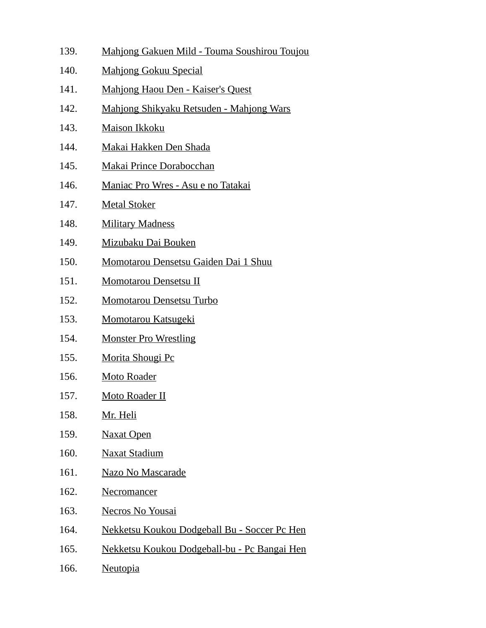- 139. Mahjong Gakuen Mild Touma Soushirou Toujou 140. Mahjong Gokuu Special 141. Mahjong Haou Den - Kaiser's Quest 142. Mahjong Shikyaku Retsuden - Mahjong Wars 143. Maison Ikkoku 144. Makai Hakken Den Shada 145. Makai Prince Dorabocchan 146. Maniac Pro Wres - Asu e no Tatakai 147. Metal Stoker 148. Military Madness 149. Mizubaku Dai Bouken 150. Momotarou Densetsu Gaiden Dai 1 Shuu 151. Momotarou Densetsu II 152. Momotarou Densetsu Turbo 153. Momotarou Katsugeki 154. Monster Pro Wrestling 155. Morita Shougi Pc 156. Moto Roader 157. Moto Roader II 158. Mr. Heli
- 159. Naxat Open
- 160. Naxat Stadium
- 161. Nazo No Mascarade
- 162. Necromancer
- 163. Necros No Yousai
- 164. Nekketsu Koukou Dodgeball Bu Soccer Pc Hen
- 165. Nekketsu Koukou Dodgeball-bu Pc Bangai Hen
- 166. Neutopia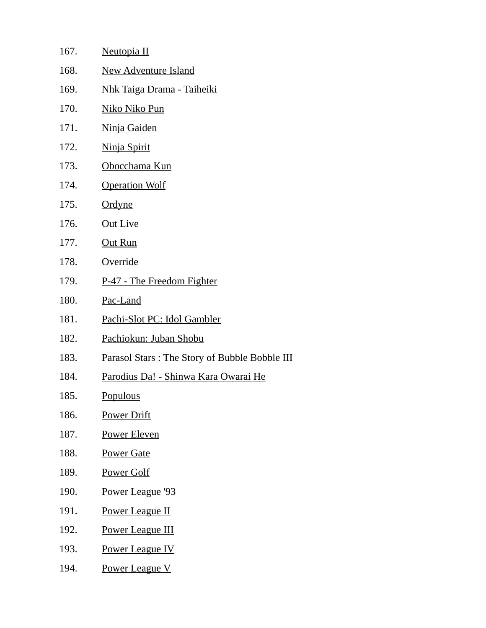| 167. | Neutopia II                                   |
|------|-----------------------------------------------|
| 168. | <b>New Adventure Island</b>                   |
| 169. | <u> Nhk Taiga Drama - Taiheiki</u>            |
| 170. | <u>Niko Niko Pun</u>                          |
| 171. | Ninja Gaiden                                  |
| 172. | Ninja Spirit                                  |
| 173. | <u>Obocchama Kun</u>                          |
| 174. | <b>Operation Wolf</b>                         |
| 175. | Ordyne                                        |
| 176. | <b>Out Live</b>                               |
| 177. | Out Run                                       |
| 178. | <b>Override</b>                               |
| 179. | P-47 - The Freedom Fighter                    |
| 180. | Pac-Land                                      |
| 181. | Pachi-Slot PC: Idol Gambler                   |
| 182. | Pachiokun: Juban Shobu                        |
| 183. | Parasol Stars: The Story of Bubble Bobble III |
| 184. | <u> Parodius Da! - Shinwa Kara Owarai He</u>  |
| 185. | <b>Populous</b>                               |
| 186. | <b>Power Drift</b>                            |
| 187. | Power Eleven                                  |
| 188. | <b>Power Gate</b>                             |
| 189. | <b>Power Golf</b>                             |
| 190. | Power League '93                              |
| 191. | <b>Power League II</b>                        |
| 192. | <b>Power League III</b>                       |
| 193. | <b>Power League IV</b>                        |
| 194. | <b>Power League V</b>                         |
|      |                                               |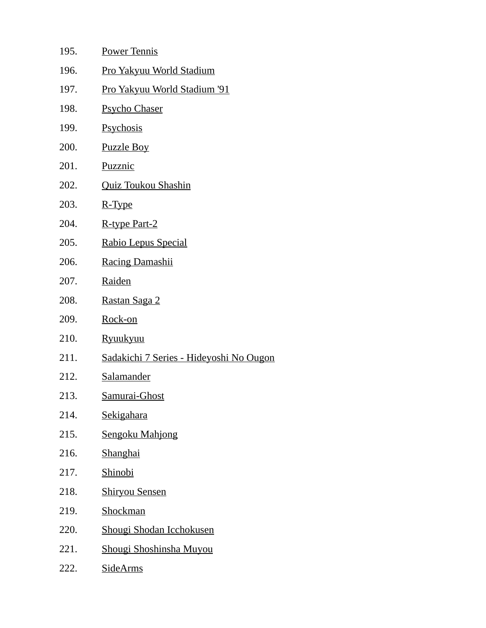| 195. | <b>Power Tennis</b>                     |
|------|-----------------------------------------|
| 196. | <u>Pro Yakyuu World Stadium</u>         |
| 197. | <u>Pro Yakyuu World Stadium '91</u>     |
| 198. | <b>Psycho Chaser</b>                    |
| 199. | <b>Psychosis</b>                        |
| 200. | <b>Puzzle Boy</b>                       |
| 201. | Puzznic                                 |
| 202. | <b>Quiz Toukou Shashin</b>              |
| 203. | R-Type                                  |
| 204. | R-type Part-2                           |
| 205. | Rabio Lepus Special                     |
| 206. | <b>Racing Damashii</b>                  |
| 207. | <b>Raiden</b>                           |
| 208. | Rastan Saga 2                           |
| 209. | Rock-on                                 |
| 210. | <b>Ryuukyuu</b>                         |
| 211. | Sadakichi 7 Series - Hideyoshi No Ougon |
| 212. | <b>Salamander</b>                       |
| 213. | <u>Samurai-Ghost</u>                    |
| 214. | Sekigahara                              |
| 215. | <b>Sengoku Mahjong</b>                  |
| 216. | <b>Shanghai</b>                         |
| 217. | <b>Shinobi</b>                          |
| 218. | <b>Shiryou Sensen</b>                   |
| 219. | <b>Shockman</b>                         |
| 220. | Shougi Shodan Icchokusen                |
| 221. | Shougi Shoshinsha Muyou                 |
| 222. | <b>SideArms</b>                         |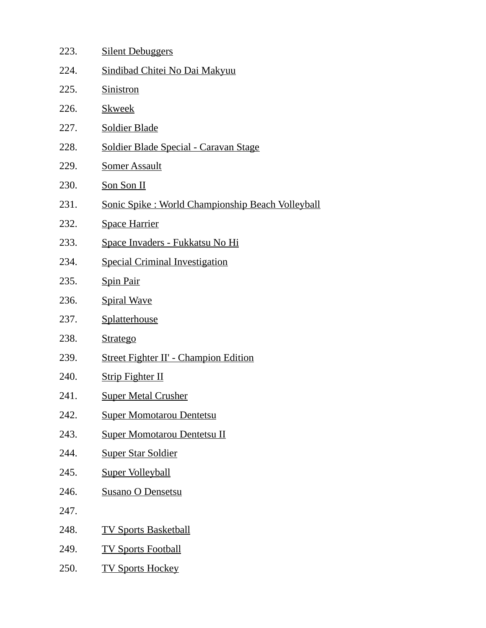| 223. | <b>Silent Debuggers</b>                           |
|------|---------------------------------------------------|
| 224. | Sindibad Chitei No Dai Makyuu                     |
| 225. | Sinistron                                         |
| 226. | <b>Skweek</b>                                     |
| 227. | <b>Soldier Blade</b>                              |
| 228. | <b>Soldier Blade Special - Caravan Stage</b>      |
| 229. | <b>Somer Assault</b>                              |
| 230. | Son Son II                                        |
| 231. | Sonic Spike : World Championship Beach Volleyball |
| 232. | <b>Space Harrier</b>                              |
| 233. | Space Invaders - Fukkatsu No Hi                   |
| 234. | <b>Special Criminal Investigation</b>             |
| 235. | <b>Spin Pair</b>                                  |
| 236. | <b>Spiral Wave</b>                                |
| 237. | Splatterhouse                                     |
| 238. | <b>Stratego</b>                                   |
| 239. | <b>Street Fighter II' - Champion Edition</b>      |
| 240. | <b>Strip Fighter II</b>                           |
| 241. | <b>Super Metal Crusher</b>                        |
| 242. | <b>Super Momotarou Dentetsu</b>                   |
| 243. | <b>Super Momotarou Dentetsu II</b>                |
| 244. | <b>Super Star Soldier</b>                         |
| 245. | <b>Super Volleyball</b>                           |
| 246. | <b>Susano O Densetsu</b>                          |
| 247. |                                                   |
| 248. | <b>TV Sports Basketball</b>                       |
| 249. | <b>TV Sports Football</b>                         |
| 250. | <b>TV Sports Hockey</b>                           |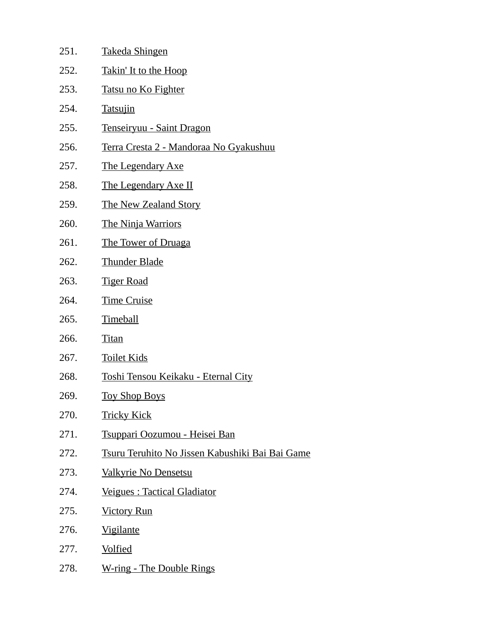| 251. | <b>Takeda Shingen</b>                                  |
|------|--------------------------------------------------------|
| 252. | <u>Takin' It to the Hoop</u>                           |
| 253. | Tatsu no Ko Fighter                                    |
| 254. | <b>Tatsujin</b>                                        |
| 255. | Tenseiryuu - Saint Dragon                              |
| 256. | Terra Cresta 2 - Mandoraa No Gyakushuu                 |
| 257. | <b>The Legendary Axe</b>                               |
| 258. | <b>The Legendary Axe II</b>                            |
| 259. | <b>The New Zealand Story</b>                           |
| 260. | <b>The Ninja Warriors</b>                              |
| 261. | <b>The Tower of Druaga</b>                             |
| 262. | <b>Thunder Blade</b>                                   |
| 263. | <b>Tiger Road</b>                                      |
| 264. | <b>Time Cruise</b>                                     |
| 265. | <b>Timeball</b>                                        |
| 266. | <b>Titan</b>                                           |
| 267. | <b>Toilet Kids</b>                                     |
| 268. | Toshi Tensou Keikaku - Eternal City                    |
| 269. | <b>Toy Shop Boys</b>                                   |
| 270. | <b>Tricky Kick</b>                                     |
| 271. | Tsuppari Oozumou - Heisei Ban                          |
| 272. | <u>Tsuru Teruhito No Jissen Kabushiki Bai Bai Game</u> |
| 273. | Valkyrie No Densetsu                                   |
| 274. | Veigues : Tactical Gladiator                           |
| 275. | <b>Victory Run</b>                                     |
| 276. | <b>Vigilante</b>                                       |
| 277. | <b>Volfied</b>                                         |
| 278. | <b>W-ring - The Double Rings</b>                       |
|      |                                                        |